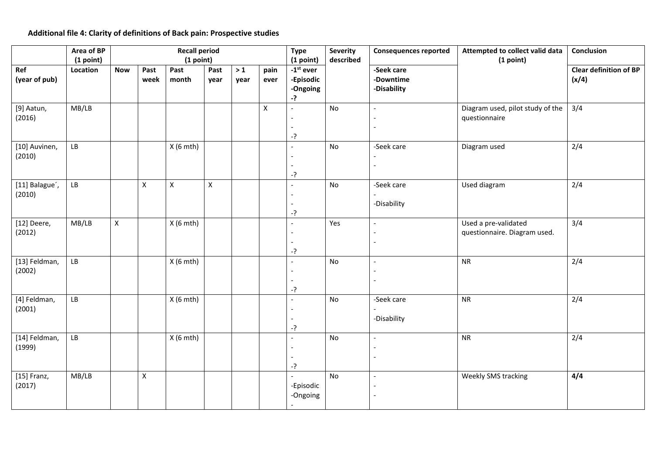## **Additional file 4: Clarity of definitions of Back pain: Prospective studies**

|                          | Area of BP<br>(1 point) |             |                    | <b>Recall period</b><br>(1 point) |                |              |              | <b>Type</b><br>(1 point)                                 | <b>Severity</b><br>described | <b>Consequences reported</b>           | Attempted to collect valid data<br>(1 point)         | Conclusion                             |
|--------------------------|-------------------------|-------------|--------------------|-----------------------------------|----------------|--------------|--------------|----------------------------------------------------------|------------------------------|----------------------------------------|------------------------------------------------------|----------------------------------------|
| Ref<br>(year of pub)     | Location                | <b>Now</b>  | Past<br>week       | Past<br>month                     | Past<br>year   | $>1$<br>year | pain<br>ever | $-1$ <sup>st</sup> ever<br>-Episodic<br>-Ongoing<br>$-?$ |                              | -Seek care<br>-Downtime<br>-Disability |                                                      | <b>Clear definition of BP</b><br>(x/4) |
| [9] Aatun,<br>(2016)     | MB/LB                   |             |                    |                                   |                |              | $\mathsf{X}$ | $-?$                                                     | No                           |                                        | Diagram used, pilot study of the<br>questionnaire    | 3/4                                    |
| [10] Auvinen,<br>(2010)  | ${\sf LB}$              |             |                    | $X(6$ mth)                        |                |              |              | $-?$                                                     | No                           | -Seek care                             | Diagram used                                         | 2/4                                    |
| [11] Balague',<br>(2010) | ${\sf LB}$              |             | $\pmb{\mathsf{X}}$ | $\mathsf{X}$                      | $\pmb{\times}$ |              |              | $-?$                                                     | No                           | -Seek care<br>-Disability              | Used diagram                                         | 2/4                                    |
| [12] Deere,<br>(2012)    | MB/LB                   | $\mathsf X$ |                    | $X(6$ mth)                        |                |              |              | $-?$                                                     | Yes                          | $\overline{a}$                         | Used a pre-validated<br>questionnaire. Diagram used. | 3/4                                    |
| [13] Feldman,<br>(2002)  | ${\sf LB}$              |             |                    | $X(6$ mth)                        |                |              |              | $-?$                                                     | No                           |                                        | <b>NR</b>                                            | 2/4                                    |
| [4] Feldman,<br>(2001)   | ${\sf LB}$              |             |                    | $X(6$ mth)                        |                |              |              | -?                                                       | No                           | -Seek care<br>-Disability              | ${\sf NR}$                                           | 2/4                                    |
| [14] Feldman,<br>(1999)  | ${\sf LB}$              |             |                    | $X(6$ mth)                        |                |              |              | $\overline{a}$<br>$-?$                                   | No                           |                                        | <b>NR</b>                                            | 2/4                                    |
| $[15]$ Franz,<br>(2017)  | MB/LB                   |             | $\mathsf X$        |                                   |                |              |              | -Episodic<br>-Ongoing                                    | No                           |                                        | Weekly SMS tracking                                  | 4/4                                    |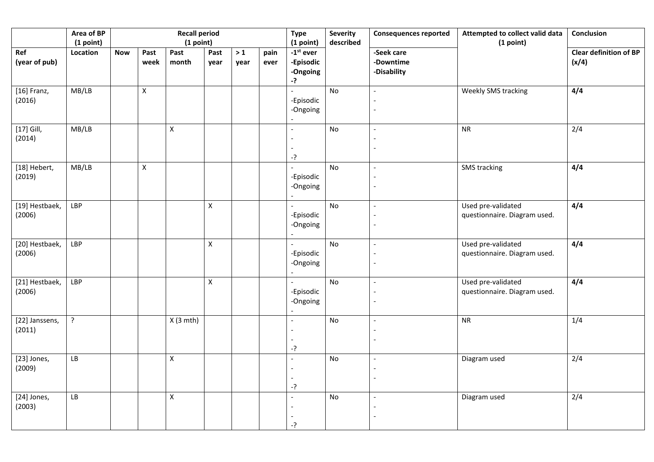|                          | Area of BP<br>(1 point) |            |              | <b>Recall period</b><br>(1 point) |                    |              |              | <b>Type</b><br>(1 point)<br>$-1st$ ever<br>-Episodic<br>-Ongoing<br>$-?$ | <b>Severity</b><br>described | <b>Consequences reported</b>           | Attempted to collect valid data<br>(1 point)       | Conclusion                             |
|--------------------------|-------------------------|------------|--------------|-----------------------------------|--------------------|--------------|--------------|--------------------------------------------------------------------------|------------------------------|----------------------------------------|----------------------------------------------------|----------------------------------------|
| Ref<br>(year of pub)     | Location                | <b>Now</b> | Past<br>week | Past<br>month                     | Past<br>year       | $>1$<br>year | pain<br>ever |                                                                          |                              | -Seek care<br>-Downtime<br>-Disability |                                                    | <b>Clear definition of BP</b><br>(x/4) |
| $[16]$ Franz,<br>(2016)  | MB/LB                   |            | $\mathsf{X}$ |                                   |                    |              |              | -Episodic<br>-Ongoing                                                    | No                           |                                        | Weekly SMS tracking                                | 4/4                                    |
| $[17]$ Gill,<br>(2014)   | MB/LB                   |            |              | $\mathsf{X}$                      |                    |              |              | -?                                                                       | No                           |                                        | <b>NR</b>                                          | 2/4                                    |
| [18] Hebert,<br>(2019)   | MB/LB                   |            | $\mathsf{X}$ |                                   |                    |              |              | -Episodic<br>-Ongoing                                                    | No                           |                                        | <b>SMS</b> tracking                                | 4/4                                    |
| [19] Hestbaek,<br>(2006) | LBP                     |            |              |                                   | X                  |              |              | $\blacksquare$<br>-Episodic<br>-Ongoing                                  | No                           |                                        | Used pre-validated<br>questionnaire. Diagram used. | 4/4                                    |
| [20] Hestbaek,<br>(2006) | LBP                     |            |              |                                   | $\pmb{\mathsf{X}}$ |              |              | $\overline{\phantom{0}}$<br>-Episodic<br>-Ongoing                        | No                           |                                        | Used pre-validated<br>questionnaire. Diagram used. | 4/4                                    |
| [21] Hestbaek,<br>(2006) | LBP                     |            |              |                                   | $\mathsf X$        |              |              | -Episodic<br>-Ongoing                                                    | No                           |                                        | Used pre-validated<br>questionnaire. Diagram used. | 4/4                                    |
| [22] Janssens,<br>(2011) | $\overline{?}$          |            |              | $X(3$ mth)                        |                    |              |              | -?                                                                       | No                           |                                        | <b>NR</b>                                          | 1/4                                    |
| [23] Jones,<br>(2009)    | LB                      |            |              | $\mathsf X$                       |                    |              |              | -?                                                                       | No                           |                                        | Diagram used                                       | 2/4                                    |
| [24] Jones,<br>(2003)    | LB                      |            |              | $\mathsf{X}$                      |                    |              |              | $\sim$<br>$-?$                                                           | No                           | $\overline{a}$                         | Diagram used                                       | 2/4                                    |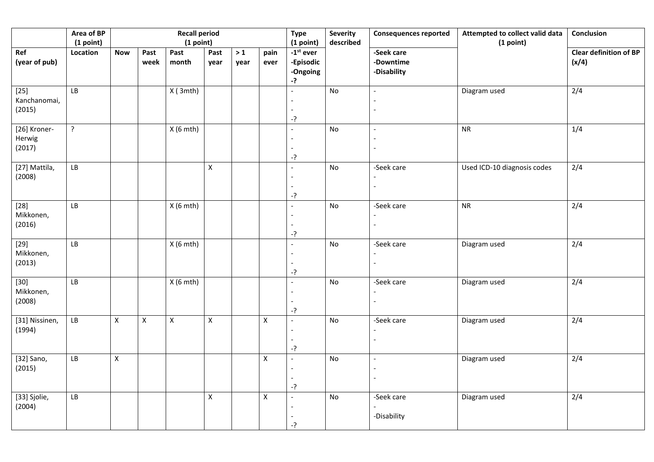|                                  | Area of BP<br>(1 point) |                    |              | <b>Recall period</b><br>(1 point) |                    |              |                    | <b>Type</b><br>(1 point)<br>$-1st$ ever<br>-Episodic<br>-Ongoing<br>-? | <b>Severity</b><br>described | <b>Consequences reported</b>           | Attempted to collect valid data<br>(1 point) | <b>Conclusion</b><br><b>Clear definition of BP</b><br>(x/4) |
|----------------------------------|-------------------------|--------------------|--------------|-----------------------------------|--------------------|--------------|--------------------|------------------------------------------------------------------------|------------------------------|----------------------------------------|----------------------------------------------|-------------------------------------------------------------|
| Ref<br>(year of pub)             | Location                | <b>Now</b>         | Past<br>week | Past<br>month                     | Past<br>year       | $>1$<br>year | pain<br>ever       |                                                                        |                              | -Seek care<br>-Downtime<br>-Disability |                                              |                                                             |
| $[25]$<br>Kanchanomai,<br>(2015) | LB                      |                    |              | X(3mth)                           |                    |              |                    | $-?$                                                                   | No                           |                                        | Diagram used                                 | 2/4                                                         |
| [26] Kroner-<br>Herwig<br>(2017) | $\overline{?}$          |                    |              | $X(6$ mth)                        |                    |              |                    | -?                                                                     | No                           |                                        | <b>NR</b>                                    | 1/4                                                         |
| [27] Mattila,<br>(2008)          | ${\sf LB}$              |                    |              |                                   | $\mathsf{X}$       |              |                    | $-?$                                                                   | No                           | -Seek care                             | Used ICD-10 diagnosis codes                  | 2/4                                                         |
| $[28]$<br>Mikkonen,<br>(2016)    | LB                      |                    |              | $X(6$ mth)                        |                    |              |                    | $-?$                                                                   | $\mathsf{No}$                | -Seek care                             | <b>NR</b>                                    | 2/4                                                         |
| $[29]$<br>Mikkonen,<br>(2013)    | LB                      |                    |              | $X(6$ mth)                        |                    |              |                    | -?                                                                     | $\mathsf{No}$                | -Seek care                             | Diagram used                                 | 2/4                                                         |
| $[30]$<br>Mikkonen,<br>(2008)    | LB                      |                    |              | $X(6$ mth)                        |                    |              |                    | -?                                                                     | $\mathsf{No}$                | -Seek care                             | Diagram used                                 | 2/4                                                         |
| [31] Nissinen,<br>(1994)         | ${\sf LB}$              | $\pmb{\mathsf{X}}$ | $\mathsf X$  | $\pmb{\mathsf{X}}$                | $\mathsf X$        |              | X                  | -?                                                                     | $\mathsf{No}$                | -Seek care                             | Diagram used                                 | 2/4                                                         |
| [32] Sano,<br>(2015)             | ${\sf LB}$              | $\mathsf X$        |              |                                   |                    |              | $\pmb{\mathsf{X}}$ | -?                                                                     | $\mathsf{No}$                |                                        | Diagram used                                 | 2/4                                                         |
| [33] Sjolie,<br>(2004)           | LB                      |                    |              |                                   | $\pmb{\mathsf{X}}$ |              | $\mathsf X$        | -?                                                                     | No                           | -Seek care<br>-Disability              | Diagram used                                 | 2/4                                                         |